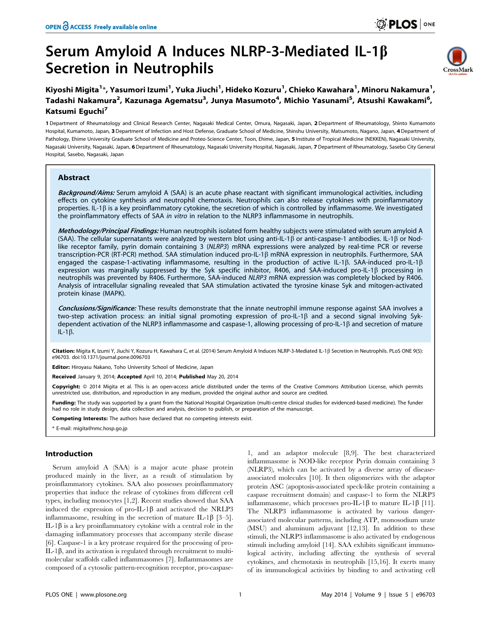# Serum Amyloid A Induces NLRP-3-Mediated IL-1 $\beta$ Secretion in Neutrophils



## Kiyoshi Migita<sup>1</sup>\*, Yasumori Izumi<sup>1</sup>, Yuka Jiuchi<sup>1</sup>, Hideko Kozuru<sup>1</sup>, Chieko Kawahara<sup>1</sup>, Minoru Nakamura<sup>1</sup>, Tadashi Nakamura<sup>2</sup>, Kazunaga Agematsu<sup>3</sup>, Junya Masumoto<sup>4</sup>, Michio Yasunami<sup>5</sup>, Atsushi Kawakami<sup>6</sup>, Katsumi Equchi<sup>7</sup>

1 Department of Rheumatology and Clinical Research Center, Nagasaki Medical Center, Omura, Nagasaki, Japan, 2 Department of Rheumatology, Shinto Kumamoto Hospital, Kumamoto, Japan, 3 Department of Infection and Host Defense, Graduate School of Medicine, Shinshu University, Matsumoto, Nagano, Japan, 4 Department of Pathology, Ehime University Graduate School of Medicine and Proteo-Science Center, Toon, Ehime, Japan, 5 Institute of Tropical Medicine (NEKKEN), Nagasaki University, Nagasaki University, Nagasaki, Japan, 6 Department of Rheumatology, Nagasaki University Hospital, Nagasaki, Japan, 7 Department of Rheumatology, Sasebo City General Hospital, Sasebo, Nagasaki, Japan

## Abstract

Background/Aims: Serum amyloid A (SAA) is an acute phase reactant with significant immunological activities, including effects on cytokine synthesis and neutrophil chemotaxis. Neutrophils can also release cytokines with proinflammatory properties. IL-1 $\beta$  is a key proinflammatory cytokine, the secretion of which is controlled by inflammasome. We investigated the proinflammatory effects of SAA in vitro in relation to the NLRP3 inflammasome in neutrophils.

Methodology/Principal Findings: Human neutrophils isolated form healthy subjects were stimulated with serum amyloid A (SAA). The cellular supernatants were analyzed by western blot using anti-IL-1 $\beta$  or anti-caspase-1 antibodies. IL-1 $\beta$  or Nodlike receptor family, pyrin domain containing 3 (NLRP3) mRNA expressions were analyzed by real-time PCR or reverse transcription-PCR (RT-PCR) method. SAA stimulation induced pro-IL-1b mRNA expression in neutrophils. Furthermore, SAA engaged the caspase-1-activating inflammasome, resulting in the production of active IL-1 $\beta$ . SAA-induced pro-IL-1 $\beta$ expression was marginally suppressed by the Syk specific inhibitor, R406, and SAA-induced pro-IL-1 $\beta$  processing in neutrophils was prevented by R406. Furthermore, SAA-induced NLRP3 mRNA expression was completely blocked by R406. Analysis of intracellular signaling revealed that SAA stimulation activated the tyrosine kinase Syk and mitogen-activated protein kinase (MAPK).

Conclusions/Significance: These results demonstrate that the innate neutrophil immune response against SAA involves a two-step activation process: an initial signal promoting expression of pro-IL-1 $\beta$  and a second signal involving Sykdependent activation of the NLRP3 inflammasome and caspase-1, allowing processing of pro-IL-1b and secretion of mature  $IL-1\beta.$ 

Citation: Migita K, Izumi Υ, Jiuchi Υ, Kozuru H, Kawahara C, et al. (2014) Serum Amyloid A Induces NLRP-3-Mediated IL-1β Secretion in Neutrophils. PLoS ONE 9(5): e96703. doi:10.1371/journal.pone.0096703

Editor: Hiroyasu Nakano, Toho University School of Medicine, Japan

Received January 9, 2014; Accepted April 10, 2014; Published May 20, 2014

Copyright: © 2014 Migita et al. This is an open-access article distributed under the terms of the [Creative Commons Attribution License](http://creativecommons.org/licenses/by/4.0/), which permits unrestricted use, distribution, and reproduction in any medium, provided the original author and source are credited.

Funding: The study was supported by a grant from the National Hospital Organization (multi-centre clinical studies for evidenced-based medicine). The funder had no role in study design, data collection and analysis, decision to publish, or preparation of the manuscript.

Competing Interests: The authors have declared that no competing interests exist.

\* E-mail: migita@nmc.hosp.go.jp

## Introduction

Serum amyloid A (SAA) is a major acute phase protein produced mainly in the liver, as a result of stimulation by proinflammatory cytokines. SAA also possesses proinflammatory properties that induce the release of cytokines from different cell types, including monocytes [1,2]. Recent studies showed that SAA induced the expression of pro-IL-1 $\beta$  and activated the NRLP3 inflammasome, resulting in the secretion of mature IL-1 $\beta$  [3-5]. IL-1 $\beta$  is a key proinflammatory cytokine with a central role in the damaging inflammatory processes that accompany sterile disease [6]. Caspase-1 is a key protease required for the processing of pro-IL-1 $\beta$ , and its activation is regulated through recruitment to multimolecular scaffolds called inflammasomes [7]. Inflammasomes are composed of a cytosolic pattern-recognition receptor, pro-caspase-

1, and an adaptor molecule [8,9]. The best characterized inflammasome is NOD-like receptor Pyrin domain containing 3 (NLRP3), which can be activated by a diverse array of diseaseassociated molecules [10]. It then oligomerizes with the adaptor protein ASC (apoptosis-associated speck-like protein containing a caspase recruitment domain) and caspase-1 to form the NLRP3 inflammasome, which processes pro-IL-1 $\beta$  to mature IL-1 $\beta$  [11]. The NLRP3 inflammasome is activated by various dangerassociated molecular patterns, including ATP, monosodium urate (MSU) and aluminum adjuvant [12,13]. In addition to these stimuli, the NLRP3 inflammasome is also activated by endogenous stimuli including amyloid [14]. SAA exhibits significant immunological activity, including affecting the synthesis of several cytokines, and chemotaxis in neutrophils [15,16]. It exerts many of its immunological activities by binding to and activating cell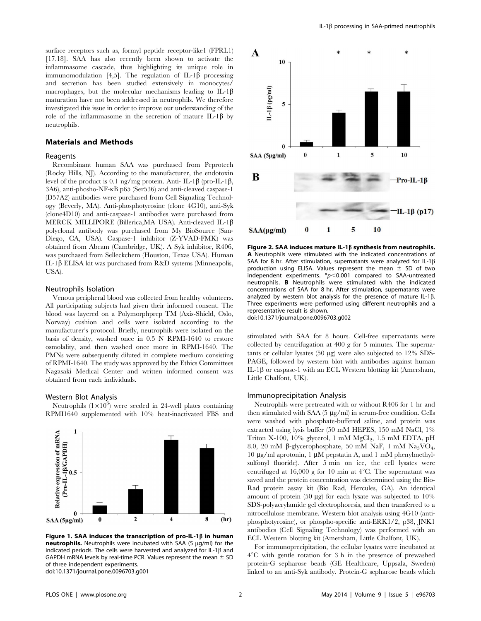surface receptors such as, formyl peptide receptor-like1 (FPRL1) [17,18]. SAA has also recently been shown to activate the inflammasome cascade, thus highlighting its unique role in immunomodulation [4,5]. The regulation of IL-1 $\beta$  processing and secretion has been studied extensively in monocytes/ macrophages, but the molecular mechanisms leading to IL-1 $\beta$ maturation have not been addressed in neutrophils. We therefore investigated this issue in order to improve our understanding of the role of the inflammasome in the secretion of mature IL-1 $\beta$  by neutrophils.

#### Materials and Methods

#### Reagents

Recombinant human SAA was purchased from Peprotech (Rocky Hills, NJ). According to the manufacturer, the endotoxin level of the product is 0.1 ng/mg protein. Anti- IL-1 $\beta$  (pro-IL-1 $\beta$ , 3A6), anti-phosho-NF-kB p65 (Ser536) and anti-cleaved caspase-1 (D57A2) antibodies were purchased from Cell Signaling Technology (Beverly, MA). Anti-phosphotyrosine (clone 4G10), anti-Syk (clone4D10) and anti-caspase-1 antibodies were purchased from MERCK MILLIPORE (Billerica, MA USA). Anti-cleaved IL-1 $\beta$ polyclonal antibody was purchased from My BioSource (San-Diego, CA, USA). Caspase-1 inhibitor (Z-YVAD-FMK) was obtained from Abcam (Cambridge, UK). A Syk inhibitor, R406, was purchased from Selleckchem (Houston, Texas USA). Human IL-1b ELISA kit was purchased from R&D systems (Minneapolis, USA).

#### Neutrophils Isolation

Venous peripheral blood was collected from healthy volunteers. All participating subjects had given their informed consent. The blood was layered on a Polymorphprep TM (Axis-Shield, Oslo, Norway) cushion and cells were isolated according to the manufacturer's protocol. Briefly, neutrophils were isolated on the basis of density, washed once in 0.5 N RPMI-1640 to restore osmolality, and then washed once more in RPMI-1640. The PMNs were subsequently diluted in complete medium consisting of RPMI-1640. The study was approved by the Ethics Committees Nagasaki Medical Center and written informed consent was obtained from each individuals.

### Western Blot Analysis

Neutrophils  $(1\times10^6)$  were seeded in 24-well plates containing RPMI1640 supplemented with 10% heat-inactivated FBS and



Figure 1. SAA induces the transcription of pro-IL-1 $\beta$  in human neutrophils. Neutrophils were incubated with SAA (5  $\mu$ g/ml) for the indicated periods. The cells were harvested and analyzed for IL-1 $\beta$  and GAPDH mRNA levels by real-time PCR. Values represent the mean  $\pm$  SD of three independent experiments. doi:10.1371/journal.pone.0096703.g001



Figure 2. SAA induces mature IL-1 $\beta$  synthesis from neutrophils. A Neutrophils were stimulated with the indicated concentrations of SAA for 8 hr. After stimulation, supernatants were analyzed for IL-1 $\beta$ production using ELISA. Values represent the mean  $\pm$  SD of two independent experiments.  $*p<0.001$  compared to SAA-untreated neutrophils. B Neutrophils were stimulated with the indicated concentrations of SAA for 8 hr. After stimulation, supernatants were analyzed by western blot analysis for the presence of mature IL-1 $\beta$ . Three experiments were performed using different neutrophils and a representative result is shown.

doi:10.1371/journal.pone.0096703.g002

stimulated with SAA for 8 hours. Cell-free supernatants were collected by centrifugation at 400 g for 5 minutes. The supernatants or cellular lysates (50  $\mu$ g) were also subjected to 12% SDS-PAGE, followed by western blot with antibodies against human IL-1 $\beta$  or caspase-1 with an ECL Western blotting kit (Amersham, Little Chalfont, UK).

#### Immunoprecipitation Analysis

Neutrophils were pretreated with or without R406 for 1 hr and then stimulated with SAA  $(5 \mu g/ml)$  in serum-free condition. Cells were washed with phosphate-buffered saline, and protein was extracted using lysis buffer (50 mM HEPES, 150 mM NaCl, 1% Triton X-100, 10% glycerol, 1 mM  $MgCl<sub>2</sub>$ , 1.5 mM EDTA, pH 8.0, 20 mM b-glycerophosphate, 50 mM NaF, 1 mM Na3VO4, 10  $\mu$ g/ml aprotonin, 1  $\mu$ M pepstatin A, and 1 mM phenylmethylsulfonyl fluoride). After 5 min on ice, the cell lysates were centrifuged at 16,000 g for 10 min at  $4^{\circ}$ C. The supernatant was saved and the protein concentration was determined using the Bio-Rad protein assay kit (Bio Rad, Hercules, CA). An identical amount of protein  $(50 \mu g)$  for each lysate was subjected to  $10\%$ SDS-polyacrylamide gel electrophoresis, and then transferred to a nitrocellulose membrane. Western blot analysis using 4G10 (antiphosphotyrosine), or phospho-specific anti-ERK1/2, p38, JNK1 antibodies (Cell Signaling Technology) was performed with an ECL Western blotting kit (Amersham, Little Chalfont, UK).

For immunoprecipitation, the cellular lysates were incubated at  $4^{\circ}$ C with gentle rotation for 3 h in the presence of prewashed protein-G sepharose beads (GE Healthcare, Uppsala, Sweden) linked to an anti-Syk antibody. Protein-G sepharose beads which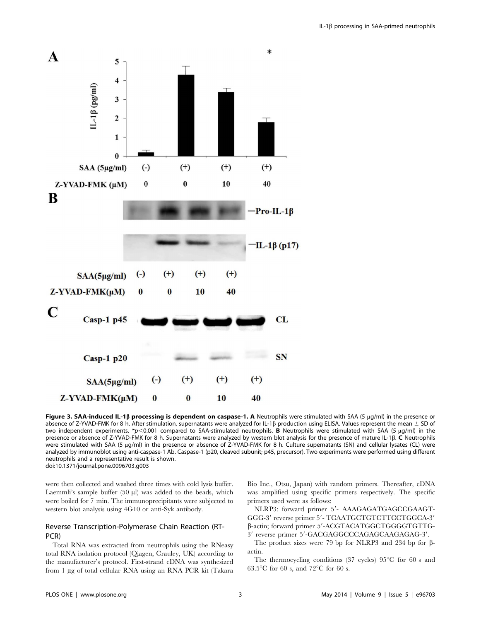

Figure 3. SAA-induced IL-1 $\beta$  processing is dependent on caspase-1. A Neutrophils were stimulated with SAA (5 µg/ml) in the presence or absence of Z-YVAD-FMK for 8 h. After stimulation, supernatants were analyzed for IL-1 $\beta$  production using ELISA. Values represent the mean  $\pm$  SD of two independent experiments. \*p<0.001 compared to SAA-stimulated neutrophils. B Neutrophils were stimulated with SAA (5  $\mu$ q/ml) in the presence or absence of Z-YVAD-FMK for 8 h. Supernatants were analyzed by western blot analysis for the presence of mature IL-1 $\beta$ . C Neutrophils were stimulated with SAA (5 µg/ml) in the presence or absence of Z-YVAD-FMK for 8 h. Culture supernatants (SN) and cellular lysates (CL) were analyzed by immunoblot using anti-caspase-1 Ab. Caspase-1 (p20, cleaved subunit; p45, precursor). Two experiments were performed using different neutrophils and a representative result is shown. doi:10.1371/journal.pone.0096703.g003

were then collected and washed three times with cold lysis buffer. Laemmli's sample buffer  $(50 \mu l)$  was added to the beads, which were boiled for 7 min. The immunoprecipitants were subjected to western blot analysis using 4G10 or anti-Syk antibody.

## Reverse Transcription-Polymerase Chain Reaction (RT-PCR)

Total RNA was extracted from neutrophils using the RNeasy total RNA isolation protocol (Qiagen, Crauley, UK) according to the manufacturer's protocol. First-strand cDNA was synthesized from 1 µg of total cellular RNA using an RNA PCR kit (Takara

Bio Inc., Otsu, Japan) with random primers. Thereafter, cDNA was amplified using specific primers respectively. The specific primers used were as follows:

NLRP3: forward primer 5'- AAAGAGATGAGCCGAAGT-GGG-3' reverse primer 5'- TCAATGCTGTCTTCCTGGCA-3'  $β$ -actin; forward primer 5'-ACGTACATGGCTGGGGTGTTG-3' reverse primer 5'-GACGAGGCCCAGAGCAAGAGAG-3'.

The product sizes were 79 bp for NLRP3 and 234 bp for  $\beta$ actin.

The thermocycling conditions (37 cycles)  $95^{\circ}$ C for 60 s and 63.5 $\mathrm{^{\circ}C}$  for 60 s, and 72 $\mathrm{^{\circ}C}$  for 60 s.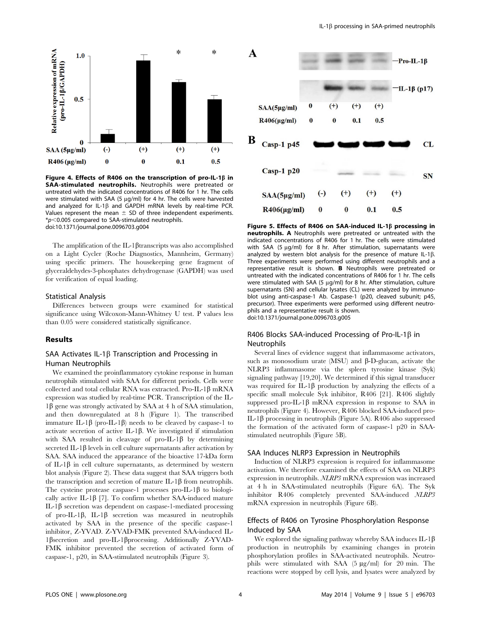

Figure 4. Effects of R406 on the transcription of pro-IL-1 $\beta$  in SAA-stimulated neutrophils. Neutrophils were pretreated or untreated with the indicated concentrations of R406 for 1 hr. The cells were stimulated with SAA (5  $\mu$ g/ml) for 4 hr. The cells were harvested and analyzed for IL-1 $\beta$  and GAPDH mRNA levels by real-time PCR. Values represent the mean  $\pm$  SD of three independent experiments.  $*p$ <0.005 compared to SAA-stimulated neutrophils.<br>doi:10.1371/journal.pone.0096703.g004

The amplification of the IL-1 $\beta$ transcripts was also accomplished on a Light Cycler (Roche Diagnostics, Mannheim, Germany) using specific primers. The housekeeping gene fragment of glyceraldehydes-3-phosphates dehydrogenase (GAPDH) was used for verification of equal loading.

#### Statistical Analysis

Differences between groups were examined for statistical significance using Wilcoxon-Mann-Whitney U test. P values less than 0.05 were considered statistically significance.

## Results

## SAA Activates IL-1 $\beta$  Transcription and Processing in Human Neutrophils

We examined the proinflammatory cytokine response in human neutrophils stimulated with SAA for different periods. Cells were collected and total cellular RNA was extracted. Pro-IL-1 $\beta$  mRNA expression was studied by real-time PCR. Transcription of the IL- $1\beta$  gene was strongly activated by SAA at 4 h of SAA stimulation, and then downregulated at 8 h (Figure 1). The transcribed immature IL-1 $\beta$  (pro-IL-1 $\beta$ ) needs to be cleaved by caspase-1 to activate secretion of active IL-1 $\beta$ . We investigated if stimulation with SAA resulted in cleavage of pro-IL-1 $\beta$  by determining secreted IL-1 $\beta$  levels in cell culture supernatants after activation by SAA. SAA induced the appearance of the bioactive 17-kDa form of IL-1 $\beta$  in cell culture supernatants, as determined by western blot analysis (Figure 2). These data suggest that SAA triggers both the transcription and secretion of mature IL-1 $\beta$  from neutrophils. The cysteine protease caspase-1 processes pro-IL-1 $\beta$  to biologically active IL-1 $\beta$  [7]. To confirm whether SAA-induced mature IL-1 $\beta$  secretion was dependent on caspase-1-mediated processing of pro-IL-1 $\beta$ , IL-1 $\beta$  secretion was measured in neutrophils activated by SAA in the presence of the specific caspase-1 inhibitor, Z-YVAD. Z-YVAD-FMK prevented SAA-induced IL-1bsecretion and pro-IL-1bprocessing. Additionally Z-YVAD-FMK inhibitor prevented the secretion of activated form of caspase-1, p20, in SAA-stimulated neutrophils (Figure 3).



Figure 5. Effects of R406 on SAA-induced IL-1 $\beta$  processing in neutrophils. A Neutrophils were pretreated or untreated with the indicated concentrations of R406 for 1 hr. The cells were stimulated with SAA (5  $\mu$ g/ml) for 8 hr. After stimulation, supernatants were analyzed by western blot analysis for the presence of mature IL-1 $\beta$ . Three experiments were performed using different neutrophils and a representative result is shown. B Neutrophils were pretreated or untreated with the indicated concentrations of R406 for 1 hr. The cells were stimulated with SAA (5  $\mu$ g/ml) for 8 hr. After stimulation, culture supernatants (SN) and cellular lysates (CL) were analyzed by immunoblot using anti-caspase-1 Ab. Caspase-1 (p20, cleaved subunit; p45, precursor). Three experiments were performed using different neutrophils and a representative result is shown. doi:10.1371/journal.pone.0096703.g005

## R406 Blocks SAA-induced Processing of Pro-IL-1 $\beta$  in **Neutrophils**

Several lines of evidence suggest that inflammasome activators, such as monosodium urate  $(MSU)$  and  $\beta$ -D-glucan, activate the NLRP3 inflammasome via the spleen tyrosine kinase (Syk) signaling pathway [19,20]. We determined if this signal transducer was required for IL-1 $\beta$  production by analyzing the effects of a specific small molecule Syk inhibitor, R406 [21]. R406 slightly suppressed pro-IL-1 $\beta$  mRNA expression in response to SAA in neutrophils (Figure 4). However, R406 blocked SAA-induced pro-IL-1β processing in neutrophils (Figure 5A). R406 also suppressed the formation of the activated form of caspase-1 p20 in SAAstimulated neutrophils (Figure 5B).

#### SAA Induces NLRP3 Expression in Neutrophils

Induction of NLRP3 expression is required for inflammasome activation. We therefore examined the effects of SAA on NLRP3 expression in neutrophils. NLRP3 mRNA expression was increased at 4 h in SAA-stimulated neutrophils (Figure 6A). The Syk inhibitor R406 completely prevented SAA-induced NLRP3 mRNA expression in neutrophils (Figure 6B).

## Effects of R406 on Tyrosine Phosphorylation Response Induced by SAA

We explored the signaling pathway whereby SAA induces IL-1 $\beta$ production in neutrophils by examining changes in protein phosphorylation profiles in SAA-activated neutrophils. Neutrophils were stimulated with SAA (5 µg/ml) for 20 min. The reactions were stopped by cell lysis, and lysates were analyzed by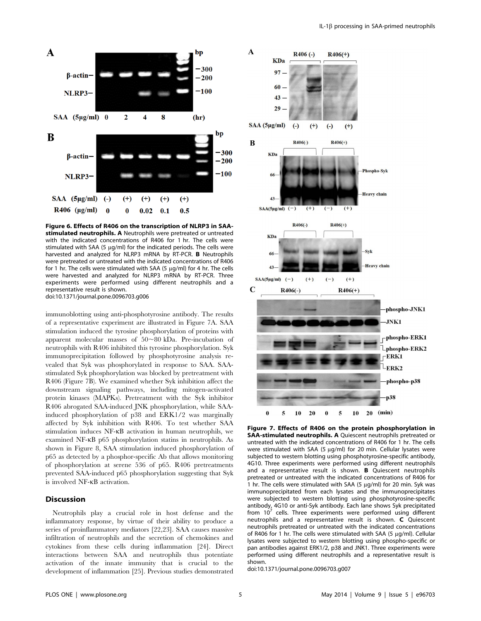

Figure 6. Effects of R406 on the transcription of NLRP3 in SAAstimulated neutrophils. A Neutrophils were pretreated or untreated with the indicated concentrations of R406 for 1 hr. The cells were stimulated with SAA (5  $\mu$ g/ml) for the indicated periods. The cells were harvested and analyzed for NLRP3 mRNA by RT-PCR. B Neutrophils were pretreated or untreated with the indicated concentrations of R406 for 1 hr. The cells were stimulated with SAA (5  $\mu$ g/ml) for 4 hr. The cells were harvested and analyzed for NLRP3 mRNA by RT-PCR. Three experiments were performed using different neutrophils and a representative result is shown. doi:10.1371/journal.pone.0096703.g006

immunoblotting using anti-phosphotyrosine antibody. The results of a representative experiment are illustrated in Figure 7A. SAA stimulation induced the tyrosine phosphorylation of proteins with apparent molecular masses of 50,80 kDa. Pre-incubation of neutrophils with R406 inhibited this tyrosine phosphorylation. Syk immunoprecipitation followed by phosphotyrosine analysis revealed that Syk was phosphorylated in response to SAA. SAAstimulated Syk phosphorylation was blocked by pretreatment with R406 (Figure 7B). We examined whether Syk inhibition affect the downstream signaling pathways, including mitogen-activated protein kinases (MAPKs). Pretreatment with the Syk inhibitor R406 abrogated SAA-induced JNK phosphorylation, while SAAinduced phosphorylation of p38 and ERK1/2 was marginally affected by Syk inhibition with R406. To test whether SAA stimulation induces NF-kB activation in human neutrophils, we examined NF-kB p65 phosphorylation statins in neutrophils. As shown in Figure 8, SAA stimulation induced phosphorylation of p65 as detected by a phosphor-specific Ab that allows monitoring of phosphorylation at serene 536 of p65. R406 pretreatments prevented SAA-induced p65 phosphorylation suggesting that Syk is involved NF-kB activation.

## **Discussion**

Neutrophils play a crucial role in host defense and the inflammatory response, by virtue of their ability to produce a series of proinflammatory mediators [22,23]. SAA causes massive infiltration of neutrophils and the secretion of chemokines and cytokines from these cells during inflammation [24]. Direct interactions between SAA and neutrophils thus potentiate activation of the innate immunity that is crucial to the development of inflammation [25]. Previous studies demonstrated



Figure 7. Effects of R406 on the protein phosphorylation in SAA-stimulated neutrophils. A Quiescent neutrophils pretreated or untreated with the indicated concentrations of R406 for 1 hr. The cells were stimulated with SAA (5 µg/ml) for 20 min. Cellular lysates were subjected to western blotting using phosphotyrosine-specific antibody, 4G10. Three experiments were performed using different neutrophils and a representative result is shown. B Quiescent neutrophils pretreated or untreated with the indicated concentrations of R406 for 1 hr. The cells were stimulated with SAA (5  $\mu$ g/ml) for 20 min. Syk was immunoprecipitated from each lysates and the immunoprecipitates were subjected to western blotting using phosphotyrosine-specific antibody, 4G10 or anti-Syk antibody. Each lane shows Syk precipitated from  $10<sup>7</sup>$  cells. Three experiments were performed using different neutrophils and a representative result is shown. C Quiescent neutrophils pretreated or untreated with the indicated concentrations of R406 for 1 hr. The cells were stimulated with SAA (5  $\mu$ g/ml). Cellular lysates were subjected to western blotting using phospho-specific or pan antibodies against ERK1/2, p38 and JNK1. Three experiments were performed using different neutrophils and a representative result is shown.

doi:10.1371/journal.pone.0096703.g007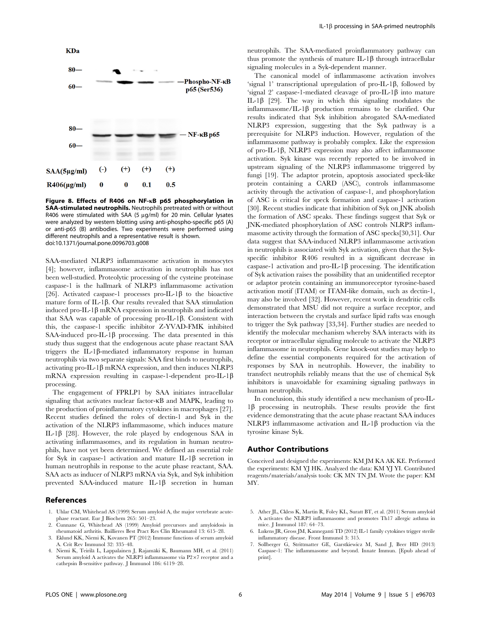

Figure 8. Effects of R406 on NF-kB p65 phosphorylation in SAA-stimulated neutrophils. Neutrophils pretreated with or without R406 were stimulated with SAA (5  $\mu$ g/ml) for 20 min. Cellular lysates were analyzed by western blotting using anti-phospho-specific p65 (A) or anti-p65 (B) antibodies. Two experiments were performed using different neutrophils and a representative result is shown. doi:10.1371/journal.pone.0096703.g008

SAA-mediated NLRP3 inflammasome activation in monocytes [4]; however, inflammasome activation in neutrophils has not been well-studied. Proteolytic processing of the cysteine proteinase caspase-1 is the hallmark of NLRP3 inflammasome activation [26]. Activated caspase-1 processes pro-IL-1 $\beta$  to the bioactive mature form of IL-1 $\beta$ . Our results revealed that SAA stimulation induced pro-IL-1 $\beta$  mRNA expression in neutrophils and indicated that SAA was capable of processing pro-IL-1 $\beta$ . Consistent with this, the caspase-1 specific inhibitor Z-YVAD-FMK inhibited SAA-induced pro-IL-1 $\beta$  processing. The data presented in this study thus suggest that the endogenous acute phase reactant SAA triggers the IL-1 $\beta$ -mediated inflammatory response in human neutrophils via two separate signals: SAA first binds to neutrophils, activating pro-IL-1 $\beta$  mRNA expression, and then induces NLRP3 mRNA expression resulting in caspase-1-dependent pro-IL-1 $\beta$ processing.

The engagement of FPRLP1 by SAA initiates intracellular signaling that activates nuclear factor- $\kappa$ B and MAPK, leading to the production of proinflammatory cytokines in macrophages [27]. Recent studies defined the roles of dectin-1 and Syk in the activation of the NLRP3 inflammasome, which induces mature IL-1 $\beta$  [28]. However, the role played by endogenous SAA in activating inflammasomes, and its regulation in human neutrophils, have not yet been determined. We defined an essential role for Syk in caspase-1 activation and mature IL-1 $\beta$  secretion in human neutrophils in response to the acute phase reactant, SAA. SAA acts as inducer of NLRP3 mRNA via Syk, and Syk inhibition prevented SAA-induced mature IL-1 $\beta$  secretion in human

#### References

- 1. Uhlar CM, Whitehead AS (1999) Serum amyloid A, the major vertebrate acutephase reactant. Eur J Biochem 265: 501–23.
- 2. Cunnane G, Whitehead AS (1999) Amyloid precursors and amyloidosis in rheumatoid arthritis. Baillieres Best Pract Res Clin Rheumatol 13: 615–28.
- 3. Eklund KK, Niemi K, Kovanen PT (2012) Immune functions of serum amyloid A. Crit Rev Immunol 32: 335–48.
- 4. Niemi K, Teirilä L, Lappalainen J, Rajamäki K, Baumann MH, et al. (2011) Serum amyloid A activates the NLRP3 inflammasome via  $P2\times7$  receptor and a cathepsin B-sensitive pathway. J Immunol 186: 6119–28.

neutrophils. The SAA-mediated proinflammatory pathway can thus promote the synthesis of mature IL-1 $\beta$  through intracellular signaling molecules in a Syk-dependent manner.

The canonical model of inflammasome activation involves 'signal 1' transcriptional upregulation of pro-IL-1 $\beta$ , followed by 'signal 2' caspase-1-mediated cleavage of pro-IL-1 $\beta$  into mature IL-1 $\beta$  [29]. The way in which this signaling modulates the inflammasome/IL-1 $\beta$  production remains to be clarified. Our results indicated that Syk inhibition abrogated SAA-mediated NLRP3 expression, suggesting that the Syk pathway is a prerequisite for NLRP3 induction. However, regulation of the inflammasome pathway is probably complex. Like the expression of pro-IL-1 $\beta$ , NLRP3 expression may also affect inflammasome activation. Syk kinase was recently reported to be involved in upstream signaling of the NLRP3 inflammasome triggered by fungi [19]. The adaptor protein, apoptosis associated speck-like protein containing a CARD (ASC), controls inflammasome activity through the activation of caspase-1, and phosphorylation of ASC is critical for speck formation and caspase-1 activation [30]. Recent studies indicate that inhibition of Syk on JNK abolish the formation of ASC speaks. These findings suggest that Syk or JNK-mediated phosphorylation of ASC controls NLRP3 inflammasome activity through the formation of ASC specks[30,31]. Our data suggest that SAA-induced NLRP3 inflammasome activation in neutrophils is associated with Syk activation, given that the Sykspecific inhibitor R406 resulted in a significant decrease in caspase-1 activation and pro-IL-1 $\beta$  processing. The identification of Syk activation raises the possibility that an unidentified receptor or adaptor protein containing an immunoreceptor tyrosine-based activation motif (ITAM) or ITAM-like domain, such as dectin-1, may also be involved [32]. However, recent work in dendritic cells demonstrated that MSU did not require a surface receptor, and interaction between the crystals and surface lipid rafts was enough to trigger the Syk pathway [33,34]. Further studies are needed to identify the molecular mechanism whereby SAA interacts with its receptor or intracellular signaling molecule to activate the NLRP3 inflammasome in neutrophils. Gene knock-out studies may help to define the essential components required for the activation of responses by SAA in neutrophils. However, the inability to transfect neutrophils reliably means that the use of chemical Syk inhibitors is unavoidable for examining signaling pathways in human neutrophils.

In conclusion, this study identified a new mechanism of pro-IL- $1\beta$  processing in neutrophils. These results provide the first evidence demonstrating that the acute phase reactant SAA induces NLRP3 inflammasome activation and IL-1 $\beta$  production via the tyrosine kinase Syk.

## Author Contributions

Conceived and designed the experiments: KM JM KA AK KE. Performed the experiments: KM YJ HK. Analyzed the data: KM YJ YI. Contributed reagents/materials/analysis tools: CK MN TN JM. Wrote the paper: KM MY.

- 5. Ather JL, Ckless K, Martin R, Foley KL, Suratt BT, et al. (2011) Serum amyloid A activates the NLRP3 inflammasome and promotes Th17 allergic asthma in mice. J Immunol 187: 64–73.
- 6. Lukens JR, Gross JM, Kanneganti TD (2012) IL-1 family cytokines trigger sterile inflammatory disease. Front Immunol 3: 315.
- 7. Sollberger G, Strittmatter GE, Garstkiewicz M, Sand J, Beer HD (2013) Caspase-1: The inflammasome and beyond. Innate Immun. [Epub ahead of print].